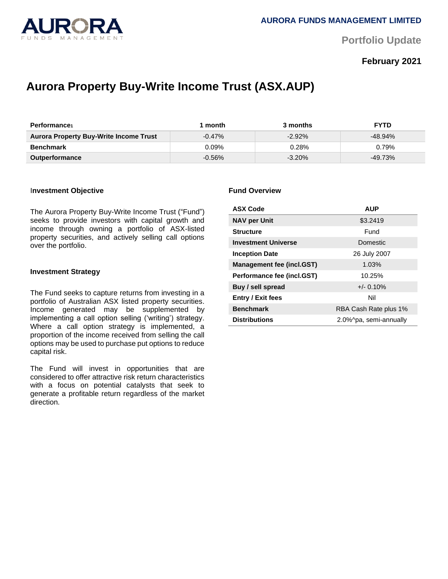

**Portfolio Update** 

# **February 2021**

# **Aurora Property Buy-Write Income Trust (ASX.AUP)**

| <b>Performance</b>                     | month     | 3 months  | <b>FYTD</b> |
|----------------------------------------|-----------|-----------|-------------|
| Aurora Property Buy-Write Income Trust | $-0.47\%$ | $-2.92\%$ | $-48.94\%$  |
| Benchmark                              | 0.09%     | $0.28\%$  | 0.79%       |
| <b>Outperformance</b>                  | $-0.56\%$ | $-3.20%$  | $-49.73%$   |

#### I**nvestment Objective**

The Aurora Property Buy-Write Income Trust ("Fund") seeks to provide investors with capital growth and income through owning a portfolio of ASX-listed property securities, and actively selling call options over the portfolio.

#### **Investment Strategy**

The Fund seeks to capture returns from investing in a portfolio of Australian ASX listed property securities. Income generated may be supplemented by implementing a call option selling ('writing') strategy. Where a call option strategy is implemented, a proportion of the income received from selling the call options may be used to purchase put options to reduce capital risk.

The Fund will invest in opportunities that are considered to offer attractive risk return characteristics with a focus on potential catalysts that seek to generate a profitable return regardless of the market direction.

#### **Fund Overview**

| <b>ASX Code</b>                  | <b>AUP</b>             |  |
|----------------------------------|------------------------|--|
| <b>NAV per Unit</b>              | \$3.2419               |  |
| <b>Structure</b>                 | Fund                   |  |
| <b>Investment Universe</b>       | Domestic               |  |
| <b>Inception Date</b>            | 26 July 2007           |  |
| <b>Management fee (incl.GST)</b> | 1.03%                  |  |
| Performance fee (incl.GST)       | 10.25%                 |  |
| Buy / sell spread                | $+/- 0.10%$            |  |
| <b>Entry / Exit fees</b>         | Nil                    |  |
| <b>Benchmark</b>                 | RBA Cash Rate plus 1%  |  |
| <b>Distributions</b>             | 2.0%^pa, semi-annually |  |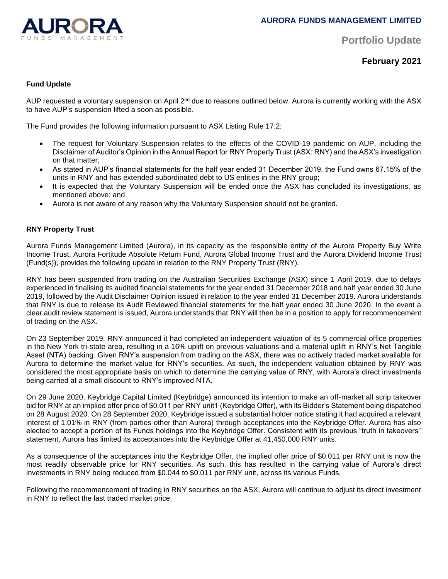

**Portfolio Update** 

**February 2021**

### **Fund Update**

AUP requested a voluntary suspension on April 2<sup>nd</sup> due to reasons outlined below. Aurora is currently working with the ASX to have AUP's suspension lifted a soon as possible.

The Fund provides the following information pursuant to ASX Listing Rule 17.2:

- The request for Voluntary Suspension relates to the effects of the COVID-19 pandemic on AUP, including the Disclaimer of Auditor's Opinion in the Annual Report for RNY Property Trust (ASX: RNY) and the ASX's investigation on that matter;
- As stated in AUP's financial statements for the half year ended 31 December 2019, the Fund owns 67.15% of the units in RNY and has extended subordinated debt to US entities in the RNY group;
- It is expected that the Voluntary Suspension will be ended once the ASX has concluded its investigations, as mentioned above; and
- Aurora is not aware of any reason why the Voluntary Suspension should not be granted.

#### **RNY Property Trust**

Aurora Funds Management Limited (Aurora), in its capacity as the responsible entity of the Aurora Property Buy Write Income Trust, Aurora Fortitude Absolute Return Fund, Aurora Global Income Trust and the Aurora Dividend Income Trust (Fund(s)), provides the following update in relation to the RNY Property Trust (RNY).

RNY has been suspended from trading on the Australian Securities Exchange (ASX) since 1 April 2019, due to delays experienced in finalising its audited financial statements for the year ended 31 December 2018 and half year ended 30 June 2019, followed by the Audit Disclaimer Opinion issued in relation to the year ended 31 December 2019. Aurora understands that RNY is due to release its Audit Reviewed financial statements for the half year ended 30 June 2020. In the event a clear audit review statement is issued, Aurora understands that RNY will then be in a position to apply for recommencement of trading on the ASX.

On 23 September 2019, RNY announced it had completed an independent valuation of its 5 commercial office properties in the New York tri-state area, resulting in a 16% uplift on previous valuations and a material uplift in RNY's Net Tangible Asset (NTA) backing. Given RNY's suspension from trading on the ASX, there was no actively traded market available for Aurora to determine the market value for RNY's securities. As such, the independent valuation obtained by RNY was considered the most appropriate basis on which to determine the carrying value of RNY, with Aurora's direct investments being carried at a small discount to RNY's improved NTA.

On 29 June 2020, Keybridge Capital Limited (Keybridge) announced its intention to make an off-market all scrip takeover bid for RNY at an implied offer price of \$0.011 per RNY unit1 (Keybridge Offer), with its Bidder's Statement being dispatched on 28 August 2020. On 28 September 2020, Keybridge issued a substantial holder notice stating it had acquired a relevant interest of 1.01% in RNY (from parties other than Aurora) through acceptances into the Keybridge Offer. Aurora has also elected to accept a portion of its Funds holdings into the Keybridge Offer. Consistent with its previous "truth in takeovers" statement, Aurora has limited its acceptances into the Keybridge Offer at 41,450,000 RNY units.

As a consequence of the acceptances into the Keybridge Offer, the implied offer price of \$0.011 per RNY unit is now the most readily observable price for RNY securities. As such, this has resulted in the carrying value of Aurora's direct investments in RNY being reduced from \$0.044 to \$0.011 per RNY unit, across its various Funds.

Following the recommencement of trading in RNY securities on the ASX, Aurora will continue to adjust its direct investment in RNY to reflect the last traded market price.